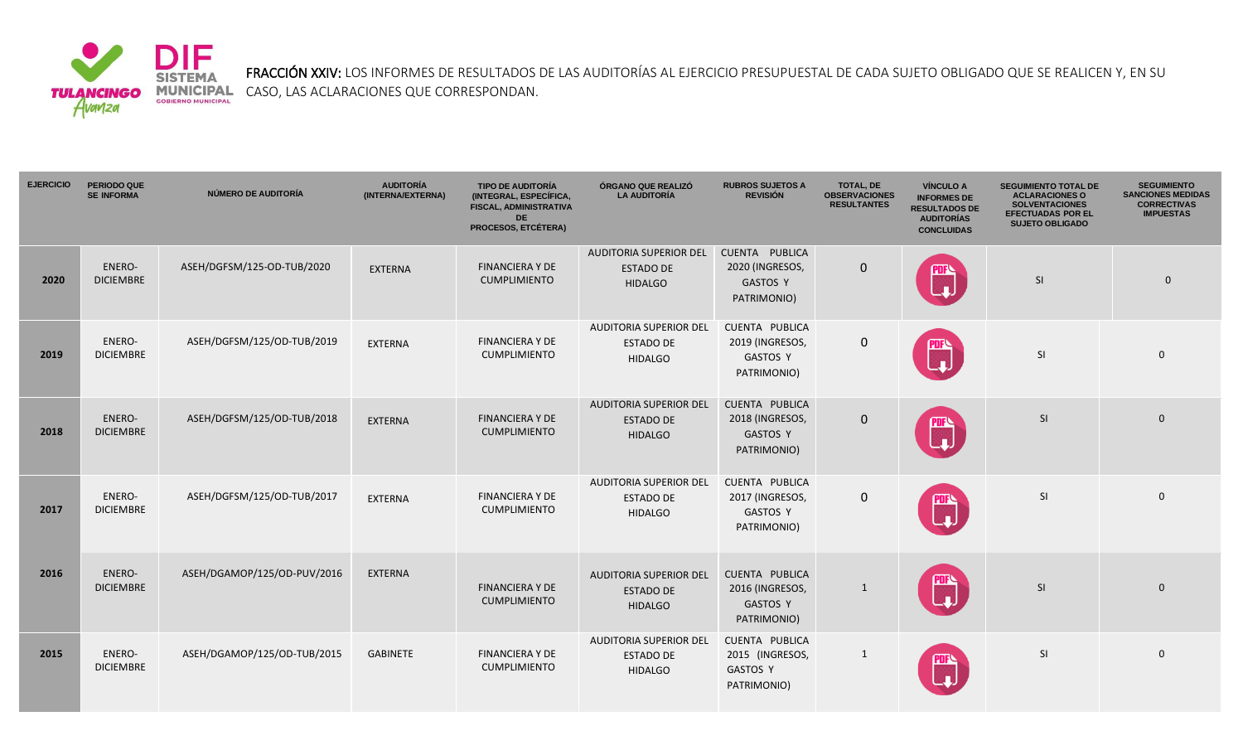

SISTEMA FRACCIÓN XXIV: LOS INFORMES DE RESULTADOS DE LAS AUDITORÍAS AL EJERCICIO PRESUPUESTAL DE CADA SUJETO OBLIGADO QUE SE REALICEN Y, EN SU<br>AVANZA COBIERNO MUNICIPAL CASO, LAS ACLARACIONES QUE CORRESPONDAN.<br>AVANZA CASO, LAS ACLARACIONES QUE CORRESPONDAN.

| <b>EJERCICIO</b> | <b>PERIODO QUE</b><br><b>SE INFORMA</b> | NÚMERO DE AUDITORÍA         | <b>AUDITORÍA</b><br>(INTERNA/EXTERNA) | <b>TIPO DE AUDITORÍA</b><br>(INTEGRAL, ESPECÍFICA,<br><b>FISCAL, ADMINISTRATIVA</b><br><b>DE</b><br><b>PROCESOS, ETCÉTERA)</b> | ÓRGANO QUE REALIZÓ<br><b>LA AUDITORÍA</b>                           | <b>RUBROS SUJETOS A</b><br><b>REVISIÓN</b>                          | <b>TOTAL, DE</b><br><b>OBSERVACIONES</b><br><b>RESULTANTES</b> | <b>VÍNCULO A</b><br><b>INFORMES DE</b><br><b>RESULTADOS DE</b><br><b>AUDITORÍAS</b><br><b>CONCLUIDAS</b> | <b>SEGUIMIENTO TOTAL DE</b><br><b>ACLARACIONES O</b><br><b>SOLVENTACIONES</b><br><b>EFECTUADAS POR EL</b><br><b>SUJETO OBLIGADO</b> | <b>SEGUIMIENTO</b><br><b>SANCIONES MEDIDAS</b><br><b>CORRECTIVAS</b><br><b>IMPUESTAS</b> |
|------------------|-----------------------------------------|-----------------------------|---------------------------------------|--------------------------------------------------------------------------------------------------------------------------------|---------------------------------------------------------------------|---------------------------------------------------------------------|----------------------------------------------------------------|----------------------------------------------------------------------------------------------------------|-------------------------------------------------------------------------------------------------------------------------------------|------------------------------------------------------------------------------------------|
| 2020             | ENERO-<br><b>DICIEMBRE</b>              | ASEH/DGFSM/125-OD-TUB/2020  | EXTERNA                               | <b>FINANCIERA Y DE</b><br><b>CUMPLIMIENTO</b>                                                                                  | <b>AUDITORIA SUPERIOR DEL</b><br><b>ESTADO DE</b><br><b>HIDALGO</b> | CUENTA PUBLICA<br>2020 (INGRESOS,<br><b>GASTOS Y</b><br>PATRIMONIO) | $\pmb{0}$                                                      |                                                                                                          | <b>SI</b>                                                                                                                           | $\Omega$                                                                                 |
| 2019             | ENERO-<br><b>DICIEMBRE</b>              | ASEH/DGFSM/125/OD-TUB/2019  | <b>EXTERNA</b>                        | <b>FINANCIERA Y DE</b><br><b>CUMPLIMIENTO</b>                                                                                  | <b>AUDITORIA SUPERIOR DEL</b><br><b>ESTADO DE</b><br><b>HIDALGO</b> | CUENTA PUBLICA<br>2019 (INGRESOS,<br><b>GASTOS Y</b><br>PATRIMONIO) | $\mathbf 0$                                                    | m.                                                                                                       | SI                                                                                                                                  | $\Omega$                                                                                 |
| 2018             | ENERO-<br><b>DICIEMBRE</b>              | ASEH/DGFSM/125/OD-TUB/2018  | EXTERNA                               | <b>FINANCIERA Y DE</b><br><b>CUMPLIMIENTO</b>                                                                                  | <b>AUDITORIA SUPERIOR DEL</b><br><b>ESTADO DE</b><br><b>HIDALGO</b> | CUENTA PUBLICA<br>2018 (INGRESOS,<br><b>GASTOS Y</b><br>PATRIMONIO) | $\mathbf 0$                                                    |                                                                                                          | <b>SI</b>                                                                                                                           | $\Omega$                                                                                 |
| 2017             | ENERO-<br><b>DICIEMBRE</b>              | ASEH/DGFSM/125/OD-TUB/2017  | EXTERNA                               | <b>FINANCIERA Y DE</b><br><b>CUMPLIMIENTO</b>                                                                                  | <b>AUDITORIA SUPERIOR DEL</b><br><b>ESTADO DE</b><br><b>HIDALGO</b> | CUENTA PUBLICA<br>2017 (INGRESOS,<br><b>GASTOS Y</b><br>PATRIMONIO) | $\mathbf 0$                                                    |                                                                                                          | <b>SI</b>                                                                                                                           | $\Omega$                                                                                 |
| 2016             | <b>ENERO-</b><br><b>DICIEMBRE</b>       | ASEH/DGAMOP/125/OD-PUV/2016 | <b>EXTERNA</b>                        | <b>FINANCIERA Y DE</b><br><b>CUMPLIMIENTO</b>                                                                                  | <b>AUDITORIA SUPERIOR DEL</b><br><b>ESTADO DE</b><br><b>HIDALGO</b> | CUENTA PUBLICA<br>2016 (INGRESOS,<br><b>GASTOS Y</b><br>PATRIMONIO) | $\mathbf{1}$                                                   |                                                                                                          | SI                                                                                                                                  | $\Omega$                                                                                 |
| 2015             | ENERO-<br><b>DICIEMBRE</b>              | ASEH/DGAMOP/125/OD-TUB/2015 | <b>GABINETE</b>                       | <b>FINANCIERA Y DE</b><br><b>CUMPLIMIENTO</b>                                                                                  | <b>AUDITORIA SUPERIOR DEL</b><br><b>ESTADO DE</b><br><b>HIDALGO</b> | CUENTA PUBLICA<br>2015 (INGRESOS,<br><b>GASTOS Y</b><br>PATRIMONIO) | 1                                                              |                                                                                                          | SI                                                                                                                                  | $\mathbf 0$                                                                              |